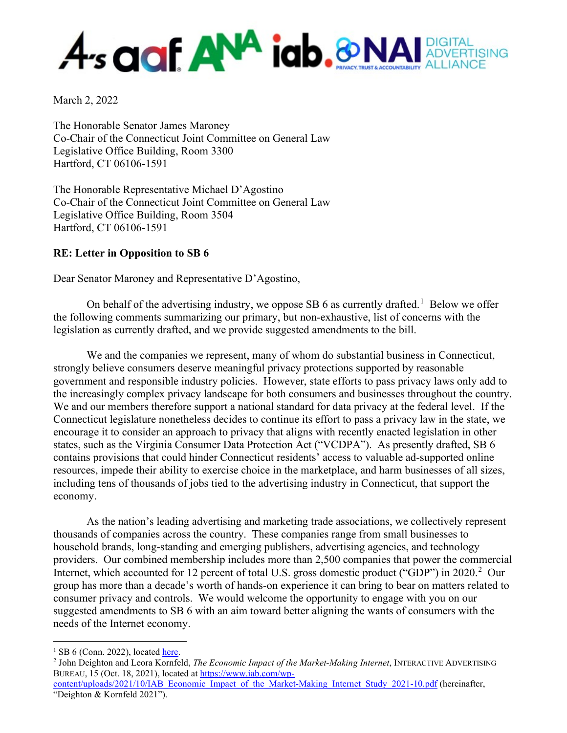# A<sub>s</sub> and **ANA** iab.&NA DIGITAL<br>ADVERTISING RUST & ACCOUNTABILITY ALLIANCE

March 2, 2022

The Honorable Senator James Maroney Co-Chair of the Connecticut Joint Committee on General Law Legislative Office Building, Room 3300 Hartford, CT 06106-1591

The Honorable Representative Michael D'Agostino Co-Chair of the Connecticut Joint Committee on General Law Legislative Office Building, Room 3504 Hartford, CT 06106-1591

### **RE: Letter in Opposition to SB 6**

Dear Senator Maroney and Representative D'Agostino,

On behalf of the advertising industry, we oppose SB 6 as currently drafted.<sup>[1](#page-0-0)</sup> Below we offer the following comments summarizing our primary, but non-exhaustive, list of concerns with the legislation as currently drafted, and we provide suggested amendments to the bill.

We and the companies we represent, many of whom do substantial business in Connecticut, strongly believe consumers deserve meaningful privacy protections supported by reasonable government and responsible industry policies. However, state efforts to pass privacy laws only add to the increasingly complex privacy landscape for both consumers and businesses throughout the country. We and our members therefore support a national standard for data privacy at the federal level. If the Connecticut legislature nonetheless decides to continue its effort to pass a privacy law in the state, we encourage it to consider an approach to privacy that aligns with recently enacted legislation in other states, such as the Virginia Consumer Data Protection Act ("VCDPA"). As presently drafted, SB 6 contains provisions that could hinder Connecticut residents' access to valuable ad-supported online resources, impede their ability to exercise choice in the marketplace, and harm businesses of all sizes, including tens of thousands of jobs tied to the advertising industry in Connecticut, that support the economy.

As the nation's leading advertising and marketing trade associations, we collectively represent thousands of companies across the country. These companies range from small businesses to household brands, long-standing and emerging publishers, advertising agencies, and technology providers. Our combined membership includes more than 2,500 companies that power the commercial Internet, which accounted for 1[2](#page-0-1) percent of total U.S. gross domestic product ("GDP") in 2020.<sup>2</sup> Our group has more than a decade's worth of hands-on experience it can bring to bear on matters related to consumer privacy and controls. We would welcome the opportunity to engage with you on our suggested amendments to SB 6 with an aim toward better aligning the wants of consumers with the needs of the Internet economy.

<span id="page-0-0"></span> $1$  SB 6 (Conn. 2022), located [here.](https://www.cga.ct.gov/asp/cgabillstatus/cgabillstatus.asp?selBillType=Bill&which_year=2022&bill_num=sb+6)

<span id="page-0-1"></span><sup>2</sup> John Deighton and Leora Kornfeld, *The Economic Impact of the Market-Making Internet*, INTERACTIVE ADVERTISING BUREAU, 15 (Oct. 18, 2021), located at [https://www.iab.com/wp-](https://www.iab.com/wp-content/uploads/2021/10/IAB_Economic_Impact_of_the_Market-Making_Internet_Study_2021-10.pdf)

[content/uploads/2021/10/IAB\\_Economic\\_Impact\\_of\\_the\\_Market-Making\\_Internet\\_Study\\_2021-10.pdf](https://www.iab.com/wp-content/uploads/2021/10/IAB_Economic_Impact_of_the_Market-Making_Internet_Study_2021-10.pdf) (hereinafter, "Deighton & Kornfeld 2021").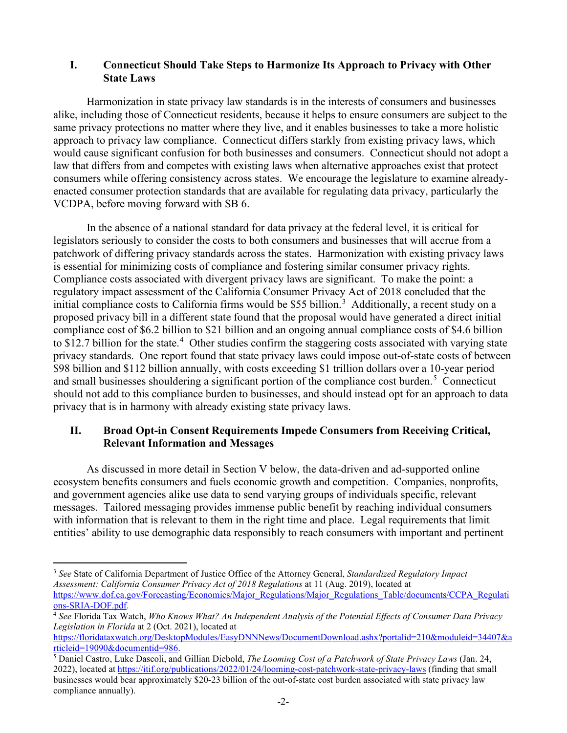#### **I. Connecticut Should Take Steps to Harmonize Its Approach to Privacy with Other State Laws**

Harmonization in state privacy law standards is in the interests of consumers and businesses alike, including those of Connecticut residents, because it helps to ensure consumers are subject to the same privacy protections no matter where they live, and it enables businesses to take a more holistic approach to privacy law compliance. Connecticut differs starkly from existing privacy laws, which would cause significant confusion for both businesses and consumers. Connecticut should not adopt a law that differs from and competes with existing laws when alternative approaches exist that protect consumers while offering consistency across states. We encourage the legislature to examine alreadyenacted consumer protection standards that are available for regulating data privacy, particularly the VCDPA, before moving forward with SB 6.

In the absence of a national standard for data privacy at the federal level, it is critical for legislators seriously to consider the costs to both consumers and businesses that will accrue from a patchwork of differing privacy standards across the states. Harmonization with existing privacy laws is essential for minimizing costs of compliance and fostering similar consumer privacy rights. Compliance costs associated with divergent privacy laws are significant. To make the point: a regulatory impact assessment of the California Consumer Privacy Act of 2018 concluded that the initial compliance costs to California firms would be \$55 billion.<sup>[3](#page-1-0)</sup> Additionally, a recent study on a proposed privacy bill in a different state found that the proposal would have generated a direct initial compliance cost of \$6.2 billion to \$21 billion and an ongoing annual compliance costs of \$4.6 billion to \$12.7 billion for the state.<sup>[4](#page-1-1)</sup> Other studies confirm the staggering costs associated with varying state privacy standards. One report found that state privacy laws could impose out-of-state costs of between \$98 billion and \$112 billion annually, with costs exceeding \$1 trillion dollars over a 10-year period and small businesses shouldering a significant portion of the compliance cost burden.<sup>[5](#page-1-2)</sup> Connecticut should not add to this compliance burden to businesses, and should instead opt for an approach to data privacy that is in harmony with already existing state privacy laws.

### **II. Broad Opt-in Consent Requirements Impede Consumers from Receiving Critical, Relevant Information and Messages**

As discussed in more detail in Section V below, the data-driven and ad-supported online ecosystem benefits consumers and fuels economic growth and competition. Companies, nonprofits, and government agencies alike use data to send varying groups of individuals specific, relevant messages. Tailored messaging provides immense public benefit by reaching individual consumers with information that is relevant to them in the right time and place. Legal requirements that limit entities' ability to use demographic data responsibly to reach consumers with important and pertinent

<span id="page-1-0"></span><sup>3</sup> *See* State of California Department of Justice Office of the Attorney General, *Standardized Regulatory Impact Assessment: California Consumer Privacy Act of 2018 Regulations* at 11 (Aug. 2019), located at [https://www.dof.ca.gov/Forecasting/Economics/Major\\_Regulations/Major\\_Regulations\\_Table/documents/CCPA\\_Regulati](https://www.dof.ca.gov/Forecasting/Economics/Major_Regulations/Major_Regulations_Table/documents/CCPA_Regulations-SRIA-DOF.pdf) [ons-SRIA-DOF.pdf.](https://www.dof.ca.gov/Forecasting/Economics/Major_Regulations/Major_Regulations_Table/documents/CCPA_Regulations-SRIA-DOF.pdf)

<span id="page-1-1"></span><sup>4</sup> *See* Florida Tax Watch, *Who Knows What? An Independent Analysis of the Potential Effects of Consumer Data Privacy Legislation in Florida* at 2 (Oct. 2021), located at

[https://floridataxwatch.org/DesktopModules/EasyDNNNews/DocumentDownload.ashx?portalid=210&moduleid=34407&a](https://floridataxwatch.org/DesktopModules/EasyDNNNews/DocumentDownload.ashx?portalid=210&moduleid=34407&articleid=19090&documentid=986) [rticleid=19090&documentid=986.](https://floridataxwatch.org/DesktopModules/EasyDNNNews/DocumentDownload.ashx?portalid=210&moduleid=34407&articleid=19090&documentid=986)

<span id="page-1-2"></span><sup>5</sup> Daniel Castro, Luke Dascoli, and Gillian Diebold, *The Looming Cost of a Patchwork of State Privacy Laws* (Jan. 24, 2022), located at<https://itif.org/publications/2022/01/24/looming-cost-patchwork-state-privacy-laws> (finding that small businesses would bear approximately \$20-23 billion of the out-of-state cost burden associated with state privacy law compliance annually).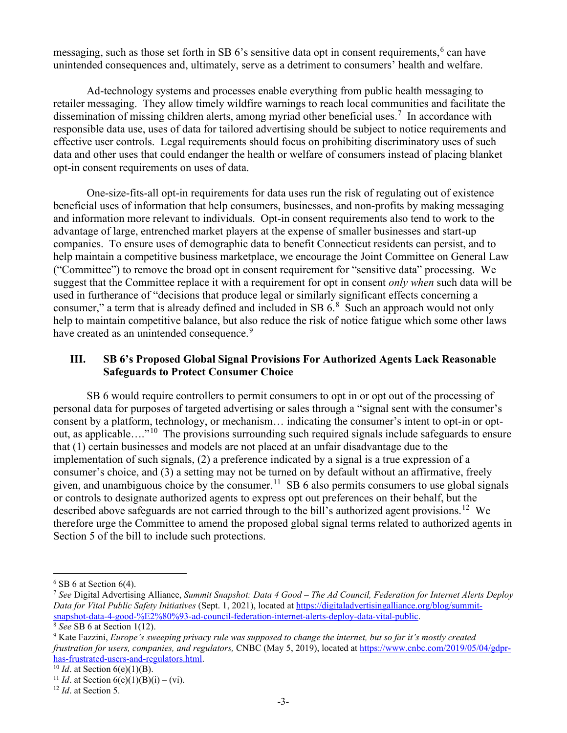messaging, such as those set forth in SB  $6$ 's sensitive data opt in consent requirements,  $6$  can have unintended consequences and, ultimately, serve as a detriment to consumers' health and welfare.

Ad-technology systems and processes enable everything from public health messaging to retailer messaging. They allow timely wildfire warnings to reach local communities and facilitate the dissemination of missing children alerts, among myriad other beneficial uses.<sup>[7](#page-2-1)</sup> In accordance with responsible data use, uses of data for tailored advertising should be subject to notice requirements and effective user controls. Legal requirements should focus on prohibiting discriminatory uses of such data and other uses that could endanger the health or welfare of consumers instead of placing blanket opt-in consent requirements on uses of data.

One-size-fits-all opt-in requirements for data uses run the risk of regulating out of existence beneficial uses of information that help consumers, businesses, and non-profits by making messaging and information more relevant to individuals. Opt-in consent requirements also tend to work to the advantage of large, entrenched market players at the expense of smaller businesses and start-up companies. To ensure uses of demographic data to benefit Connecticut residents can persist, and to help maintain a competitive business marketplace, we encourage the Joint Committee on General Law ("Committee") to remove the broad opt in consent requirement for "sensitive data" processing. We suggest that the Committee replace it with a requirement for opt in consent *only when* such data will be used in furtherance of "decisions that produce legal or similarly significant effects concerning a consumer," a term that is already defined and included in SB  $6.8\text{ Such}$  $6.8\text{ Such}$  $6.8\text{ Such}$  an approach would not only help to maintain competitive balance, but also reduce the risk of notice fatigue which some other laws have created as an unintended consequence.<sup>[9](#page-2-3)</sup>

### **III. SB 6's Proposed Global Signal Provisions For Authorized Agents Lack Reasonable Safeguards to Protect Consumer Choice**

SB 6 would require controllers to permit consumers to opt in or opt out of the processing of personal data for purposes of targeted advertising or sales through a "signal sent with the consumer's consent by a platform, technology, or mechanism… indicating the consumer's intent to opt-in or optout, as applicable…."[10](#page-2-4) The provisions surrounding such required signals include safeguards to ensure that (1) certain businesses and models are not placed at an unfair disadvantage due to the implementation of such signals, (2) a preference indicated by a signal is a true expression of a consumer's choice, and (3) a setting may not be turned on by default without an affirmative, freely given, and unambiguous choice by the consumer.<sup>[11](#page-2-5)</sup> SB 6 also permits consumers to use global signals or controls to designate authorized agents to express opt out preferences on their behalf, but the described above safeguards are not carried through to the bill's authorized agent provisions.<sup>[12](#page-2-6)</sup> We therefore urge the Committee to amend the proposed global signal terms related to authorized agents in Section 5 of the bill to include such protections.

<span id="page-2-0"></span> $6$  SB 6 at Section 6(4).

<span id="page-2-1"></span><sup>7</sup> *See* Digital Advertising Alliance, *Summit Snapshot: Data 4 Good – The Ad Council, Federation for Internet Alerts Deploy Data for Vital Public Safety Initiatives* (Sept. 1, 2021), located at [https://digitaladvertisingalliance.org/blog/summit](https://digitaladvertisingalliance.org/blog/summit-snapshot-data-4-good-%E2%80%93-ad-council-federation-internet-alerts-deploy-data-vital-public)[snapshot-data-4-good-%E2%80%93-ad-council-federation-internet-alerts-deploy-data-vital-public.](https://digitaladvertisingalliance.org/blog/summit-snapshot-data-4-good-%E2%80%93-ad-council-federation-internet-alerts-deploy-data-vital-public) 8 *See* SB 6 at Section 1(12).

<span id="page-2-2"></span>

<span id="page-2-3"></span><sup>9</sup> Kate Fazzini, *Europe's sweeping privacy rule was supposed to change the internet, but so far it's mostly created frustration for users, companies, and regulators,* CNBC (May 5, 2019), located a[t https://www.cnbc.com/2019/05/04/gdpr](https://www.cnbc.com/2019/05/04/gdpr-has-frustrated-users-and-regulators.html)[has-frustrated-users-and-regulators.html.](https://www.cnbc.com/2019/05/04/gdpr-has-frustrated-users-and-regulators.html) 10 *Id*. at Section 6(e)(1)(B).

<span id="page-2-5"></span><span id="page-2-4"></span><sup>&</sup>lt;sup>11</sup> *Id.* at Section  $6(e)(1)(B)(i) - (vi)$ .

<span id="page-2-6"></span><sup>12</sup> *Id*. at Section 5.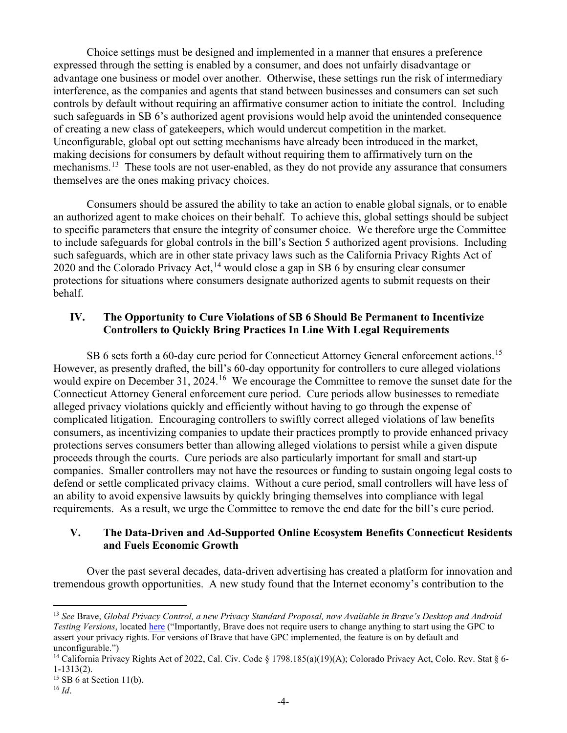Choice settings must be designed and implemented in a manner that ensures a preference expressed through the setting is enabled by a consumer, and does not unfairly disadvantage or advantage one business or model over another. Otherwise, these settings run the risk of intermediary interference, as the companies and agents that stand between businesses and consumers can set such controls by default without requiring an affirmative consumer action to initiate the control. Including such safeguards in SB 6's authorized agent provisions would help avoid the unintended consequence of creating a new class of gatekeepers, which would undercut competition in the market. Unconfigurable, global opt out setting mechanisms have already been introduced in the market, making decisions for consumers by default without requiring them to affirmatively turn on the mechanisms.<sup>13</sup> These tools are not user-enabled, as they do not provide any assurance that consumers themselves are the ones making privacy choices.

Consumers should be assured the ability to take an action to enable global signals, or to enable an authorized agent to make choices on their behalf. To achieve this, global settings should be subject to specific parameters that ensure the integrity of consumer choice. We therefore urge the Committee to include safeguards for global controls in the bill's Section 5 authorized agent provisions. Including such safeguards, which are in other state privacy laws such as the California Privacy Rights Act of 2020 and the Colorado Privacy Act,<sup>[14](#page-3-1)</sup> would close a gap in SB 6 by ensuring clear consumer protections for situations where consumers designate authorized agents to submit requests on their behalf.

### **IV. The Opportunity to Cure Violations of SB 6 Should Be Permanent to Incentivize Controllers to Quickly Bring Practices In Line With Legal Requirements**

SB 6 sets forth a 60-day cure period for Connecticut Attorney General enforcement actions.<sup>15</sup> However, as presently drafted, the bill's 60-day opportunity for controllers to cure alleged violations would expire on December 31, 2024.<sup>16</sup> We encourage the Committee to remove the sunset date for the Connecticut Attorney General enforcement cure period. Cure periods allow businesses to remediate alleged privacy violations quickly and efficiently without having to go through the expense of complicated litigation. Encouraging controllers to swiftly correct alleged violations of law benefits consumers, as incentivizing companies to update their practices promptly to provide enhanced privacy protections serves consumers better than allowing alleged violations to persist while a given dispute proceeds through the courts. Cure periods are also particularly important for small and start-up companies. Smaller controllers may not have the resources or funding to sustain ongoing legal costs to defend or settle complicated privacy claims. Without a cure period, small controllers will have less of an ability to avoid expensive lawsuits by quickly bringing themselves into compliance with legal requirements. As a result, we urge the Committee to remove the end date for the bill's cure period.

#### **V. The Data-Driven and Ad-Supported Online Ecosystem Benefits Connecticut Residents and Fuels Economic Growth**

Over the past several decades, data-driven advertising has created a platform for innovation and tremendous growth opportunities. A new study found that the Internet economy's contribution to the

<span id="page-3-0"></span><sup>13</sup> *See* Brave, *Global Privacy Control, a new Privacy Standard Proposal, now Available in Brave's Desktop and Android Testing Versions*, located [here](https://brave.com/web-standards-at-brave/4-global-privacy-control/) ("Importantly, Brave does not require users to change anything to start using the GPC to assert your privacy rights. For versions of Brave that have GPC implemented, the feature is on by default and unconfigurable.")

<span id="page-3-1"></span><sup>&</sup>lt;sup>14</sup> California Privacy Rights Act of 2022, Cal. Civ. Code § 1798.185(a)(19)(A); Colorado Privacy Act, Colo. Rev. Stat § 6-1-1313(2).

<span id="page-3-2"></span> $15$  SB 6 at Section 11(b).

<span id="page-3-3"></span> $^{16}$  *Id.*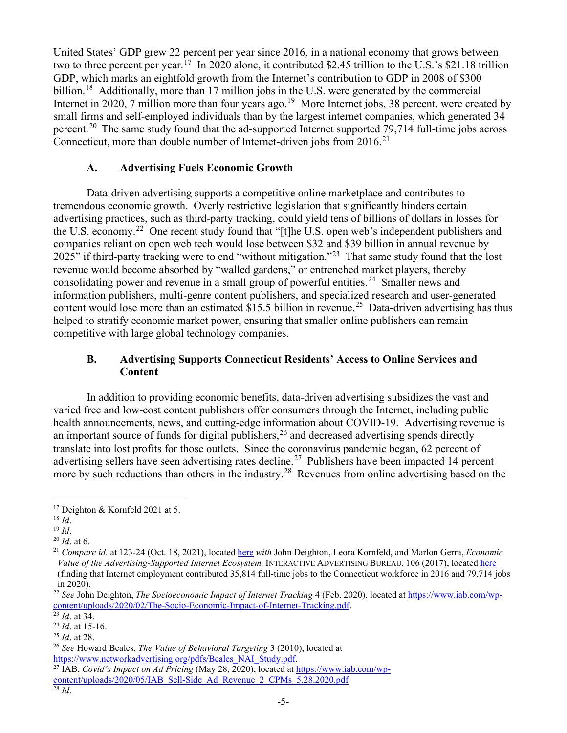United States' GDP grew 22 percent per year since 2016, in a national economy that grows between two to three percent per year.<sup>17</sup> In 2020 alone, it contributed \$2.45 trillion to the U.S.'s \$21.18 trillion GDP, which marks an eightfold growth from the Internet's contribution to GDP in 2008 of \$300 billion.<sup>18</sup> Additionally, more than 17 million jobs in the U.S. were generated by the commercial Internet in 2020, 7 million more than four years ago.<sup>19</sup> More Internet jobs, 38 percent, were created by small firms and self-employed individuals than by the largest internet companies, which generated 34 percent.<sup>[20](#page-4-3)</sup> The same study found that the ad-supported Internet supported 79,714 full-time jobs across Connecticut, more than double number of Internet-driven jobs from  $2016$ <sup>[21](#page-4-4)</sup>

#### **A. Advertising Fuels Economic Growth**

Data-driven advertising supports a competitive online marketplace and contributes to tremendous economic growth. Overly restrictive legislation that significantly hinders certain advertising practices, such as third-party tracking, could yield tens of billions of dollars in losses for the U.S. economy.[22](#page-4-5) One recent study found that "[t]he U.S. open web's independent publishers and companies reliant on open web tech would lose between \$32 and \$39 billion in annual revenue by 2025" if third-party tracking were to end "without mitigation."<sup>[23](#page-4-6)</sup> That same study found that the lost revenue would become absorbed by "walled gardens," or entrenched market players, thereby consolidating power and revenue in a small group of powerful entities.<sup>24</sup> Smaller news and information publishers, multi-genre content publishers, and specialized research and user-generated content would lose more than an estimated \$15.5 billion in revenue.<sup>[25](#page-4-8)</sup> Data-driven advertising has thus helped to stratify economic market power, ensuring that smaller online publishers can remain competitive with large global technology companies.

# **B. Advertising Supports Connecticut Residents' Access to Online Services and Content**

In addition to providing economic benefits, data-driven advertising subsidizes the vast and varied free and low-cost content publishers offer consumers through the Internet, including public health announcements, news, and cutting-edge information about COVID-19. Advertising revenue is an important source of funds for digital publishers,  $26$  and decreased advertising spends directly translate into lost profits for those outlets. Since the coronavirus pandemic began, 62 percent of advertising sellers have seen advertising rates decline.<sup>27</sup> Publishers have been impacted 14 percent more by such reductions than others in the industry.<sup>[28](#page-4-11)</sup> Revenues from online advertising based on the

<span id="page-4-0"></span><sup>17</sup> Deighton & Kornfeld 2021 at 5.

<span id="page-4-1"></span><sup>18</sup> *Id*.

<span id="page-4-2"></span><sup>19</sup> *Id*.

<span id="page-4-3"></span><sup>20</sup> *Id*. at 6.

<span id="page-4-4"></span><sup>21</sup> *Compare id.* at 123-24 (Oct. 18, 2021), locate[d here](https://www.iab.com/wp-content/uploads/2021/10/IAB_Economic_Impact_of_the_Market-Making_Internet_Study_2021-10.pdf) *with* John Deighton, Leora Kornfeld, and Marlon Gerra, *Economic Value of the Advertising-Supported Internet Ecosystem,* INTERACTIVE ADVERTISING BUREAU, 106 (2017), located [here](https://www.iab.com/wp-content/uploads/2017/03/Economic-Value-Study-2017-FINAL2.pdf) (finding that Internet employment contributed 35,814 full-time jobs to the Connecticut workforce in 2016 and 79,714 jobs in 2020).

<span id="page-4-5"></span><sup>22</sup> *See* John Deighton, *The Socioeconomic Impact of Internet Tracking* 4 (Feb. 2020), located a[t https://www.iab.com/wp](https://www.iab.com/wp-content/uploads/2020/02/The-Socio-Economic-Impact-of-Internet-Tracking.pdf)[content/uploads/2020/02/The-Socio-Economic-Impact-of-Internet-Tracking.pdf.](https://www.iab.com/wp-content/uploads/2020/02/The-Socio-Economic-Impact-of-Internet-Tracking.pdf)

<span id="page-4-6"></span> $\overline{^{23}Id.}$  at 34.

<span id="page-4-7"></span><sup>24</sup> *Id*. at 15-16.

<span id="page-4-8"></span><sup>25</sup> *Id*. at 28.

<span id="page-4-9"></span><sup>26</sup> *See* Howard Beales, *The Value of Behavioral Targeting* 3 (2010), located at [https://www.networkadvertising.org/pdfs/Beales\\_NAI\\_Study.pdf.](https://www.networkadvertising.org/pdfs/Beales_NAI_Study.pdf)

<span id="page-4-10"></span><sup>27</sup> IAB, *Covid's Impact on Ad Pricing* (May 28, 2020), located at [https://www.iab.com/wp](https://www.iab.com/wp-content/uploads/2020/05/IAB_Sell-Side_Ad_Revenue_2_CPMs_5.28.2020.pdf)[content/uploads/2020/05/IAB\\_Sell-Side\\_Ad\\_Revenue\\_2\\_CPMs\\_5.28.2020.pdf](https://www.iab.com/wp-content/uploads/2020/05/IAB_Sell-Side_Ad_Revenue_2_CPMs_5.28.2020.pdf)

<span id="page-4-11"></span> $\overline{^{28}$  *Id*.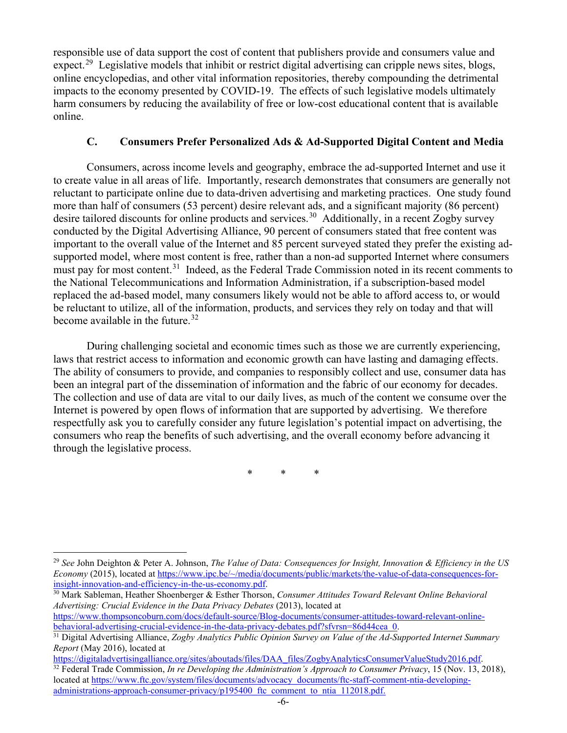responsible use of data support the cost of content that publishers provide and consumers value and expect.<sup>29</sup> Legislative models that inhibit or restrict digital advertising can cripple news sites, blogs, online encyclopedias, and other vital information repositories, thereby compounding the detrimental impacts to the economy presented by COVID-19. The effects of such legislative models ultimately harm consumers by reducing the availability of free or low-cost educational content that is available online.

# **C. Consumers Prefer Personalized Ads & Ad-Supported Digital Content and Media**

Consumers, across income levels and geography, embrace the ad-supported Internet and use it to create value in all areas of life. Importantly, research demonstrates that consumers are generally not reluctant to participate online due to data-driven advertising and marketing practices. One study found more than half of consumers (53 percent) desire relevant ads, and a significant majority (86 percent) desire tailored discounts for online products and services.<sup>[30](#page-5-1)</sup> Additionally, in a recent Zogby survey conducted by the Digital Advertising Alliance, 90 percent of consumers stated that free content was important to the overall value of the Internet and 85 percent surveyed stated they prefer the existing adsupported model, where most content is free, rather than a non-ad supported Internet where consumers must pay for most content.<sup>31</sup> Indeed, as the Federal Trade Commission noted in its recent comments to the National Telecommunications and Information Administration, if a subscription-based model replaced the ad-based model, many consumers likely would not be able to afford access to, or would be reluctant to utilize, all of the information, products, and services they rely on today and that will become available in the future.  $32$ 

During challenging societal and economic times such as those we are currently experiencing, laws that restrict access to information and economic growth can have lasting and damaging effects. The ability of consumers to provide, and companies to responsibly collect and use, consumer data has been an integral part of the dissemination of information and the fabric of our economy for decades. The collection and use of data are vital to our daily lives, as much of the content we consume over the Internet is powered by open flows of information that are supported by advertising. We therefore respectfully ask you to carefully consider any future legislation's potential impact on advertising, the consumers who reap the benefits of such advertising, and the overall economy before advancing it through the legislative process.

\* \* \*

[https://www.thompsoncoburn.com/docs/default-source/Blog-documents/consumer-attitudes-toward-relevant-online](https://www.thompsoncoburn.com/docs/default-source/Blog-documents/consumer-attitudes-toward-relevant-online-behavioral-advertising-crucial-evidence-in-the-data-privacy-debates.pdf?sfvrsn=86d44cea_0)[behavioral-advertising-crucial-evidence-in-the-data-privacy-debates.pdf?sfvrsn=86d44cea\\_0.](https://www.thompsoncoburn.com/docs/default-source/Blog-documents/consumer-attitudes-toward-relevant-online-behavioral-advertising-crucial-evidence-in-the-data-privacy-debates.pdf?sfvrsn=86d44cea_0)

<span id="page-5-0"></span><sup>29</sup> *See* John Deighton & Peter A. Johnson, *The Value of Data: Consequences for Insight, Innovation & Efficiency in the US Economy* (2015), located at <u>https://www.ipc.be/~/media/documents/public/markets/the-value-of-data-consequences-for-</u><br>insight-innovation-and-efficiency-in-the-us-economy.pdf.

<span id="page-5-1"></span><sup>&</sup>lt;sup>30</sup> Mark Sableman, Heather Shoenberger & Esther Thorson, *Consumer Attitudes Toward Relevant Online Behavioral Advertising: Crucial Evidence in the Data Privacy Debates* (2013), located at

<span id="page-5-2"></span><sup>31</sup> Digital Advertising Alliance, *Zogby Analytics Public Opinion Survey on Value of the Ad-Supported Internet Summary Report* (May 2016), located at

<span id="page-5-3"></span>[https://digitaladvertisingalliance.org/sites/aboutads/files/DAA\\_files/ZogbyAnalyticsConsumerValueStudy2016.pdf.](https://digitaladvertisingalliance.org/sites/aboutads/files/DAA_files/ZogbyAnalyticsConsumerValueStudy2016.pdf) <sup>32</sup> Federal Trade Commission, *In re Developing the Administration's Approach to Consumer Privacy*, 15 (Nov. 13, 2018), located a[t https://www.ftc.gov/system/files/documents/advocacy\\_documents/ftc-staff-comment-ntia-developing](https://www.ftc.gov/system/files/documents/advocacy_documents/ftc-staff-comment-ntia-developing-administrations-approach-consumer-privacy/p195400_ftc_comment_to_ntia_112018.pdf)administrations-approach-consumer-privacy/p195400 ftc\_comment\_to\_ntia\_112018.pdf.